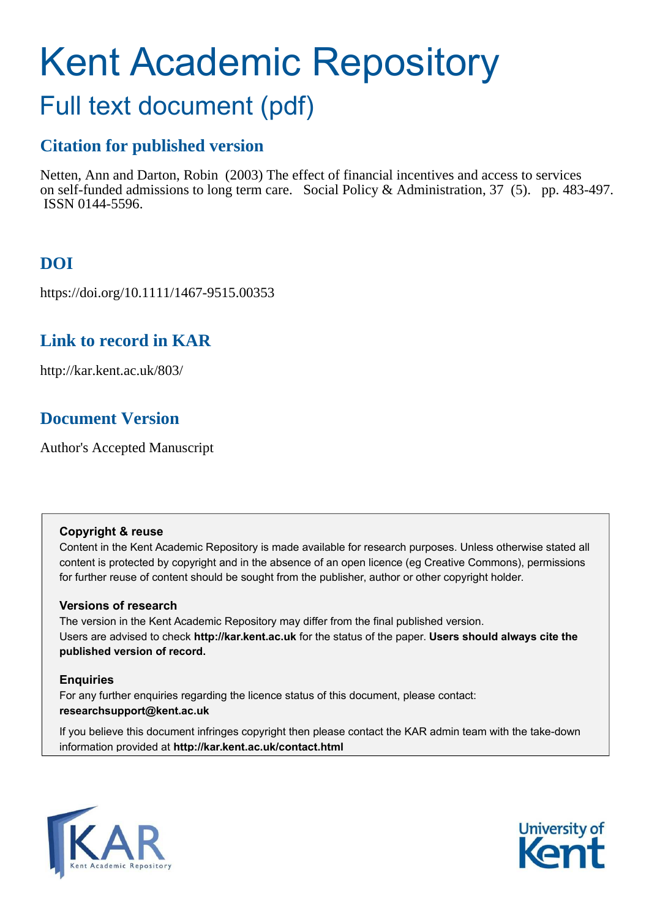# Kent Academic Repository

# Full text document (pdf)

## **Citation for published version**

Netten, Ann and Darton, Robin (2003) The effect of financial incentives and access to services on self-funded admissions to long term care. Social Policy & Administration, 37 (5). pp. 483-497. ISSN 0144-5596.

## **DOI**

https://doi.org/10.1111/1467-9515.00353

## **Link to record in KAR**

http://kar.kent.ac.uk/803/

## **Document Version**

Author's Accepted Manuscript

#### **Copyright & reuse**

Content in the Kent Academic Repository is made available for research purposes. Unless otherwise stated all content is protected by copyright and in the absence of an open licence (eg Creative Commons), permissions for further reuse of content should be sought from the publisher, author or other copyright holder.

#### **Versions of research**

The version in the Kent Academic Repository may differ from the final published version. Users are advised to check **http://kar.kent.ac.uk** for the status of the paper. **Users should always cite the published version of record.**

#### **Enquiries**

For any further enquiries regarding the licence status of this document, please contact: **researchsupport@kent.ac.uk**

If you believe this document infringes copyright then please contact the KAR admin team with the take-down information provided at **http://kar.kent.ac.uk/contact.html**



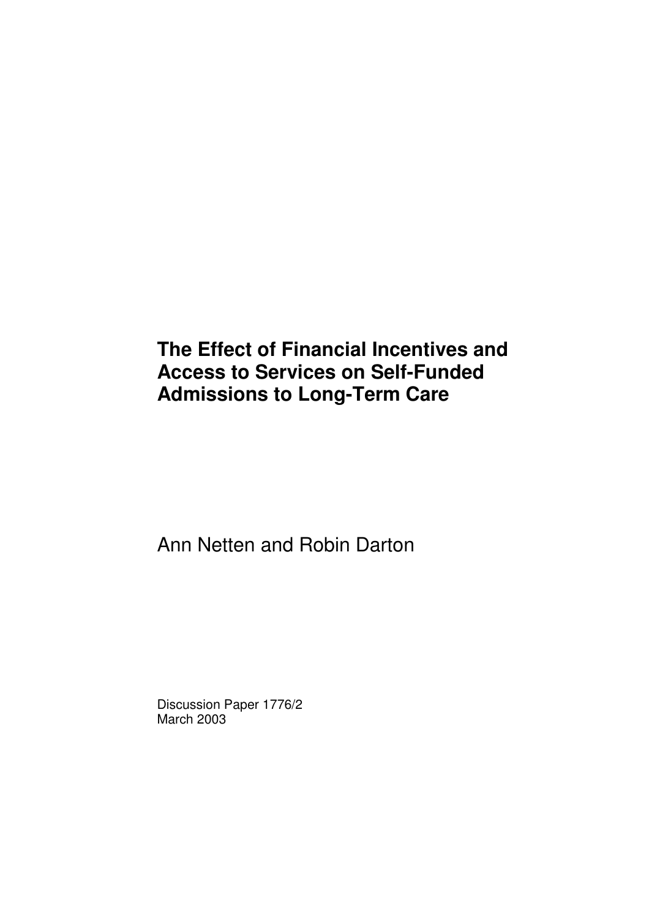# **The Effect of Financial Incentives and Access to Services on Self-Funded Admissions to Long-Term Care**

Ann Netten and Robin Darton

Discussion Paper 1776/2 March 2003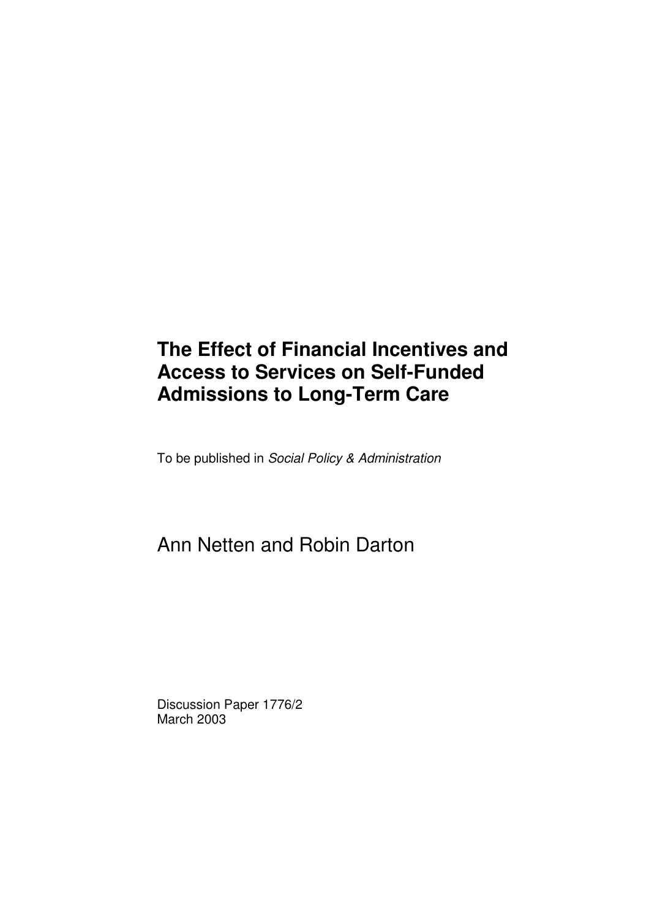# **The Effect of Financial Incentives and Access to Services on Self-Funded Admissions to Long-Term Care**

To be published in *Social Policy & Administration*

# Ann Netten and Robin Darton

Discussion Paper 1776/2 March 2003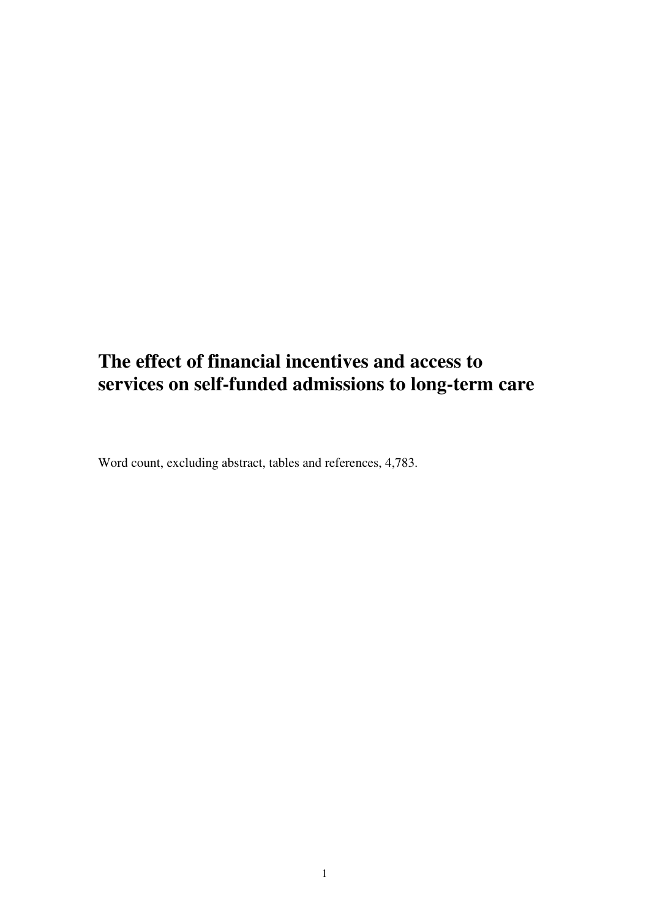## **The effect of financial incentives and access to services on self-funded admissions to long-term care**

Word count, excluding abstract, tables and references, 4,783.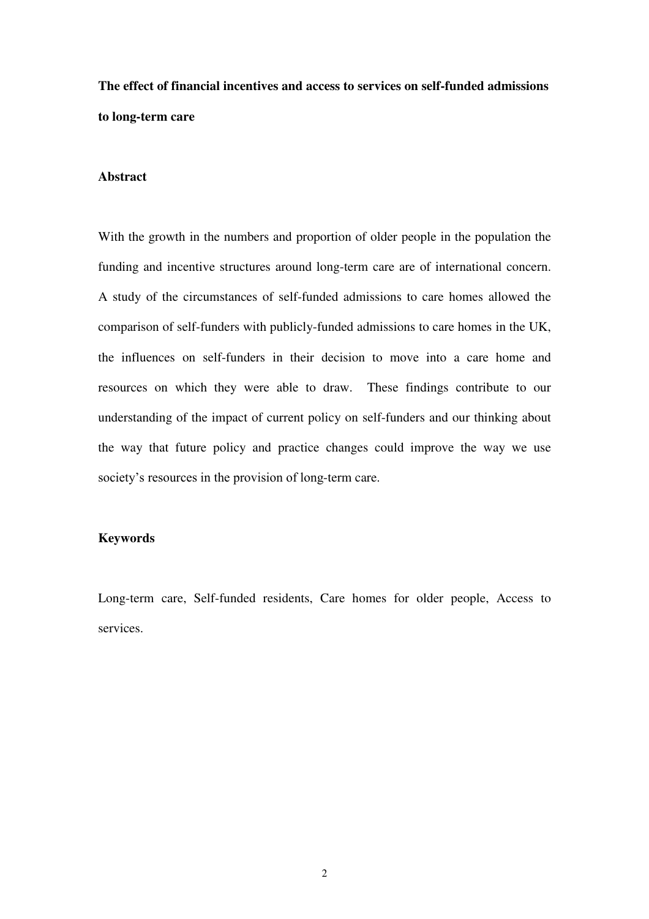## **The effect of financial incentives and access to services on self-funded admissions to long-term care**

#### **Abstract**

With the growth in the numbers and proportion of older people in the population the funding and incentive structures around long-term care are of international concern. A study of the circumstances of self-funded admissions to care homes allowed the comparison of self-funders with publicly-funded admissions to care homes in the UK, the influences on self-funders in their decision to move into a care home and resources on which they were able to draw. These findings contribute to our understanding of the impact of current policy on self-funders and our thinking about the way that future policy and practice changes could improve the way we use society's resources in the provision of long-term care.

#### **Keywords**

Long-term care, Self-funded residents, Care homes for older people, Access to services.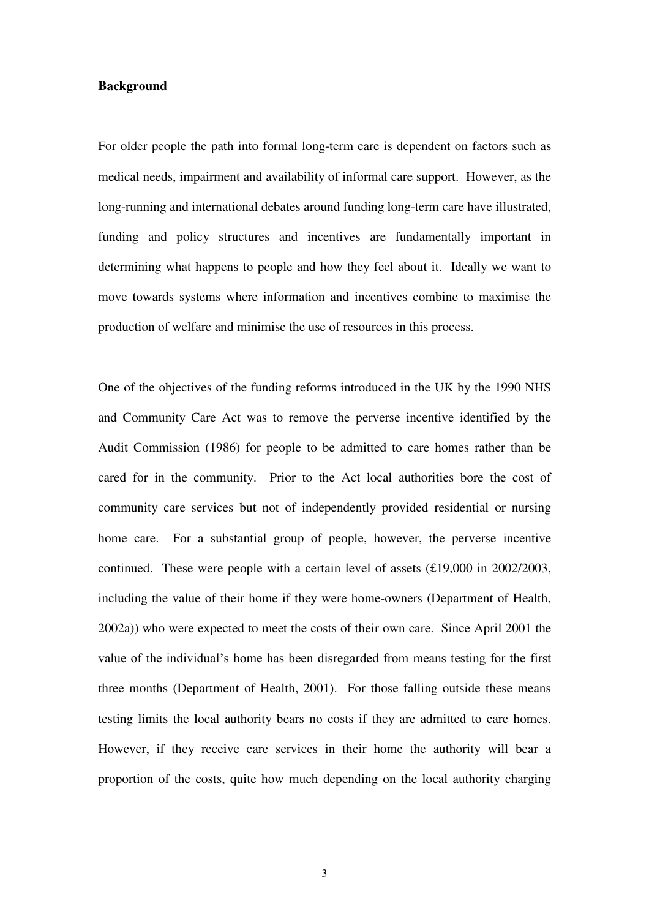#### **Background**

For older people the path into formal long-term care is dependent on factors such as medical needs, impairment and availability of informal care support. However, as the long-running and international debates around funding long-term care have illustrated, funding and policy structures and incentives are fundamentally important in determining what happens to people and how they feel about it. Ideally we want to move towards systems where information and incentives combine to maximise the production of welfare and minimise the use of resources in this process.

One of the objectives of the funding reforms introduced in the UK by the 1990 NHS and Community Care Act was to remove the perverse incentive identified by the Audit Commission (1986) for people to be admitted to care homes rather than be cared for in the community. Prior to the Act local authorities bore the cost of community care services but not of independently provided residential or nursing home care. For a substantial group of people, however, the perverse incentive continued. These were people with a certain level of assets (£19,000 in 2002/2003, including the value of their home if they were home-owners (Department of Health, 2002a)) who were expected to meet the costs of their own care. Since April 2001 the value of the individual's home has been disregarded from means testing for the first three months (Department of Health, 2001). For those falling outside these means testing limits the local authority bears no costs if they are admitted to care homes. However, if they receive care services in their home the authority will bear a proportion of the costs, quite how much depending on the local authority charging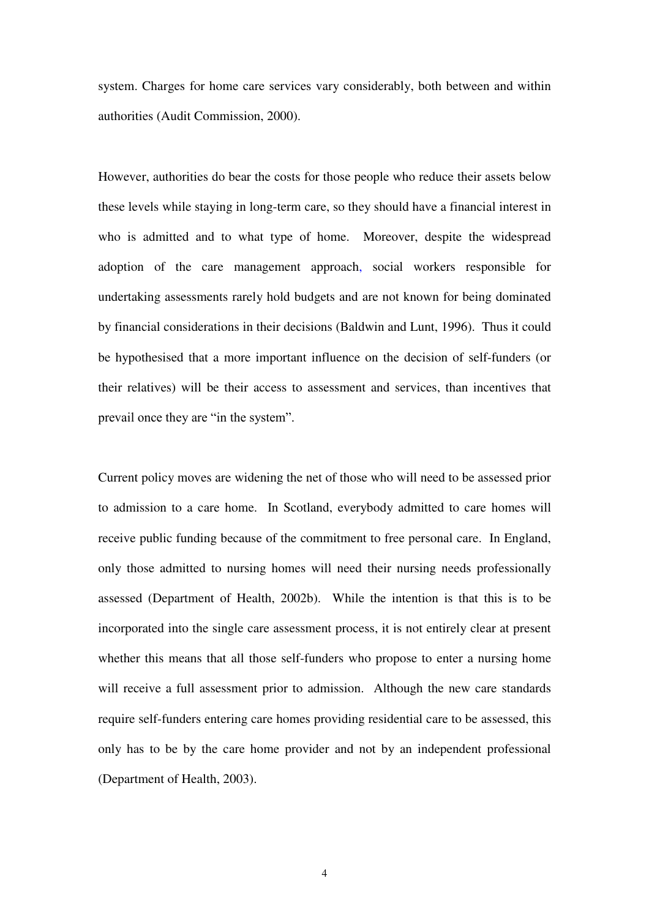system. Charges for home care services vary considerably, both between and within authorities (Audit Commission, 2000).

However, authorities do bear the costs for those people who reduce their assets below these levels while staying in long-term care, so they should have a financial interest in who is admitted and to what type of home. Moreover, despite the widespread adoption of the care management approach, social workers responsible for undertaking assessments rarely hold budgets and are not known for being dominated by financial considerations in their decisions (Baldwin and Lunt, 1996). Thus it could be hypothesised that a more important influence on the decision of self-funders (or their relatives) will be their access to assessment and services, than incentives that prevail once they are "in the system".

Current policy moves are widening the net of those who will need to be assessed prior to admission to a care home. In Scotland, everybody admitted to care homes will receive public funding because of the commitment to free personal care. In England, only those admitted to nursing homes will need their nursing needs professionally assessed (Department of Health, 2002b). While the intention is that this is to be incorporated into the single care assessment process, it is not entirely clear at present whether this means that all those self-funders who propose to enter a nursing home will receive a full assessment prior to admission. Although the new care standards require self-funders entering care homes providing residential care to be assessed, this only has to be by the care home provider and not by an independent professional (Department of Health, 2003).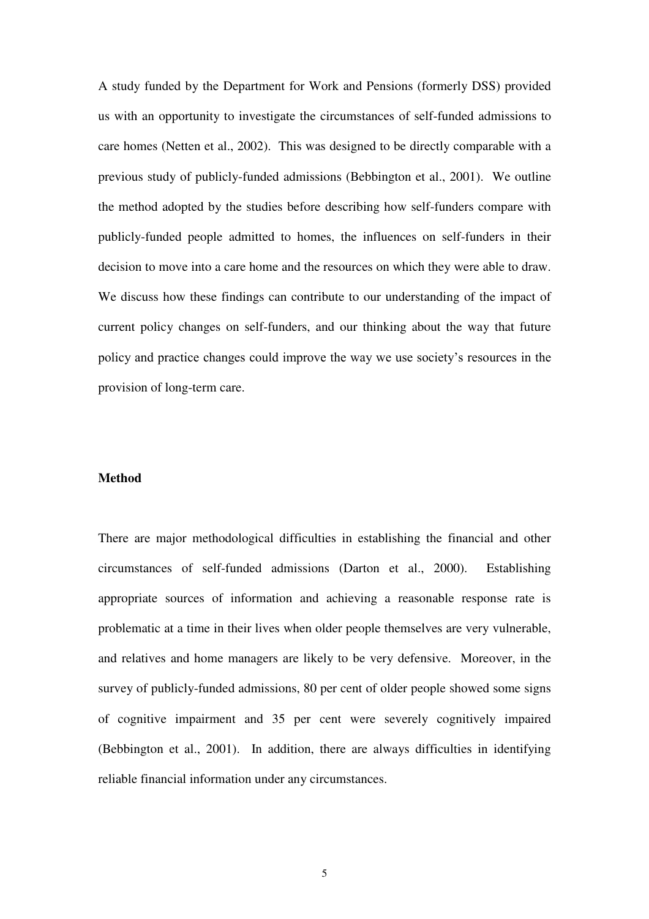A study funded by the Department for Work and Pensions (formerly DSS) provided us with an opportunity to investigate the circumstances of self-funded admissions to care homes (Netten et al., 2002). This was designed to be directly comparable with a previous study of publicly-funded admissions (Bebbington et al., 2001). We outline the method adopted by the studies before describing how self-funders compare with publicly-funded people admitted to homes, the influences on self-funders in their decision to move into a care home and the resources on which they were able to draw. We discuss how these findings can contribute to our understanding of the impact of current policy changes on self-funders, and our thinking about the way that future policy and practice changes could improve the way we use society's resources in the provision of long-term care.

#### **Method**

There are major methodological difficulties in establishing the financial and other circumstances of self-funded admissions (Darton et al., 2000). Establishing appropriate sources of information and achieving a reasonable response rate is problematic at a time in their lives when older people themselves are very vulnerable, and relatives and home managers are likely to be very defensive. Moreover, in the survey of publicly-funded admissions, 80 per cent of older people showed some signs of cognitive impairment and 35 per cent were severely cognitively impaired (Bebbington et al., 2001). In addition, there are always difficulties in identifying reliable financial information under any circumstances.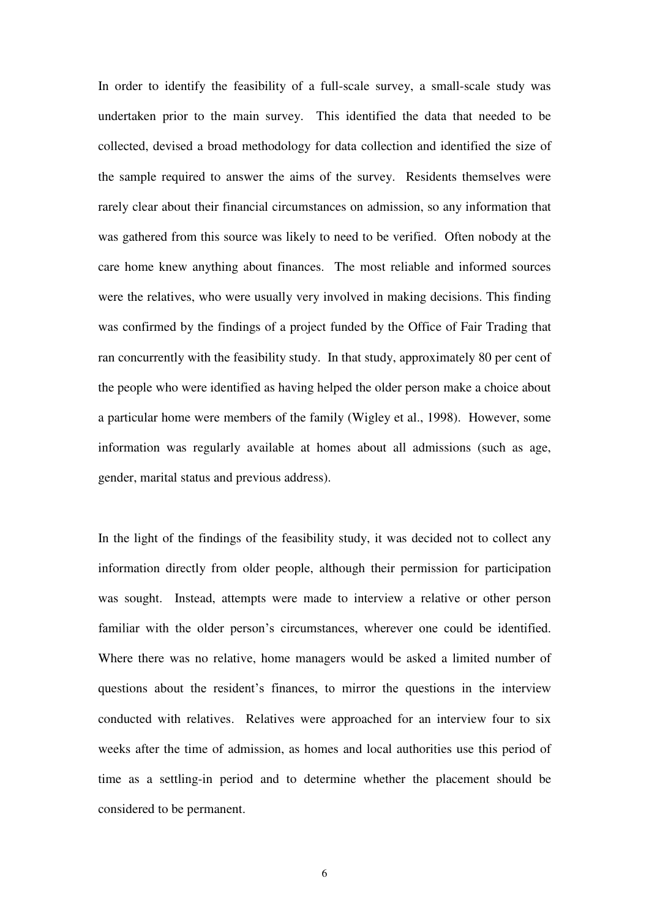In order to identify the feasibility of a full-scale survey, a small-scale study was undertaken prior to the main survey. This identified the data that needed to be collected, devised a broad methodology for data collection and identified the size of the sample required to answer the aims of the survey. Residents themselves were rarely clear about their financial circumstances on admission, so any information that was gathered from this source was likely to need to be verified. Often nobody at the care home knew anything about finances. The most reliable and informed sources were the relatives, who were usually very involved in making decisions. This finding was confirmed by the findings of a project funded by the Office of Fair Trading that ran concurrently with the feasibility study. In that study, approximately 80 per cent of the people who were identified as having helped the older person make a choice about a particular home were members of the family (Wigley et al., 1998). However, some information was regularly available at homes about all admissions (such as age, gender, marital status and previous address).

In the light of the findings of the feasibility study, it was decided not to collect any information directly from older people, although their permission for participation was sought. Instead, attempts were made to interview a relative or other person familiar with the older person's circumstances, wherever one could be identified. Where there was no relative, home managers would be asked a limited number of questions about the resident's finances, to mirror the questions in the interview conducted with relatives. Relatives were approached for an interview four to six weeks after the time of admission, as homes and local authorities use this period of time as a settling-in period and to determine whether the placement should be considered to be permanent.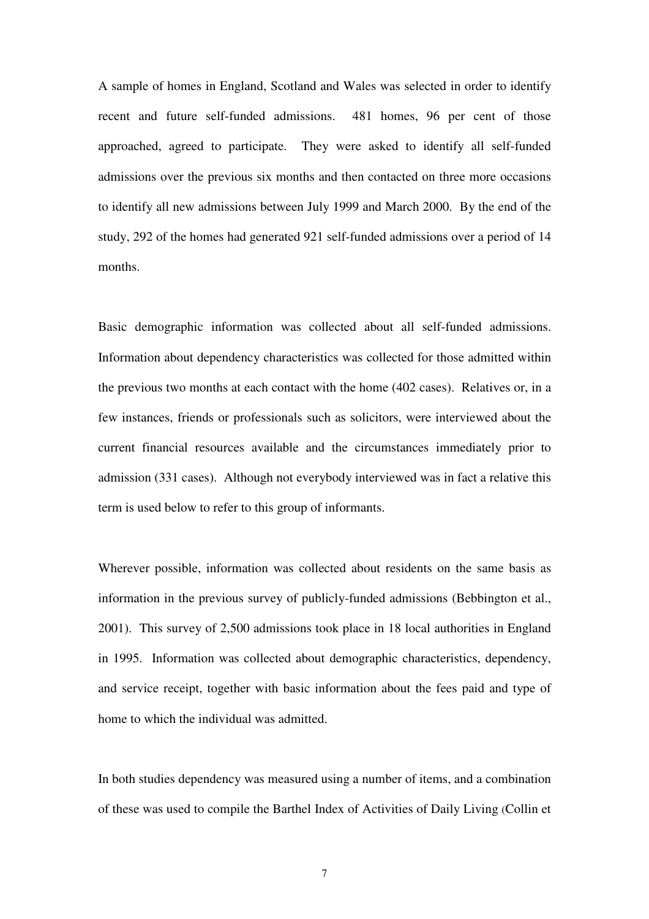A sample of homes in England, Scotland and Wales was selected in order to identify recent and future self-funded admissions. 481 homes, 96 per cent of those approached, agreed to participate. They were asked to identify all self-funded admissions over the previous six months and then contacted on three more occasions to identify all new admissions between July 1999 and March 2000. By the end of the study, 292 of the homes had generated 921 self-funded admissions over a period of 14 months.

Basic demographic information was collected about all self-funded admissions. Information about dependency characteristics was collected for those admitted within the previous two months at each contact with the home (402 cases). Relatives or, in a few instances, friends or professionals such as solicitors, were interviewed about the current financial resources available and the circumstances immediately prior to admission (331 cases). Although not everybody interviewed was in fact a relative this term is used below to refer to this group of informants.

Wherever possible, information was collected about residents on the same basis as information in the previous survey of publicly-funded admissions (Bebbington et al., 2001). This survey of 2,500 admissions took place in 18 local authorities in England in 1995. Information was collected about demographic characteristics, dependency, and service receipt, together with basic information about the fees paid and type of home to which the individual was admitted.

In both studies dependency was measured using a number of items, and a combination of these was used to compile the Barthel Index of Activities of Daily Living (Collin et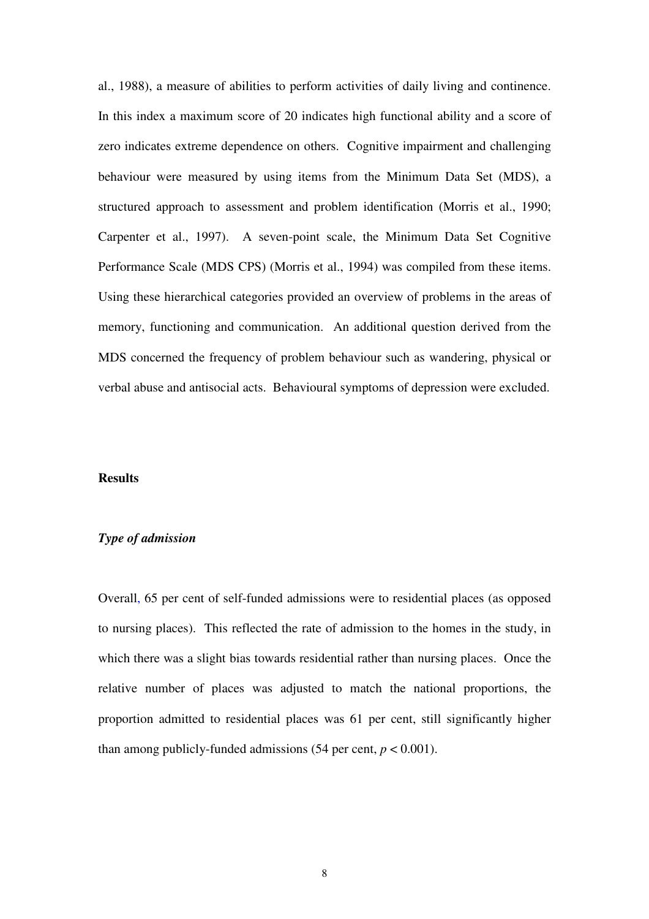al., 1988), a measure of abilities to perform activities of daily living and continence. In this index a maximum score of 20 indicates high functional ability and a score of zero indicates extreme dependence on others. Cognitive impairment and challenging behaviour were measured by using items from the Minimum Data Set (MDS), a structured approach to assessment and problem identification (Morris et al., 1990; Carpenter et al., 1997). A seven-point scale, the Minimum Data Set Cognitive Performance Scale (MDS CPS) (Morris et al., 1994) was compiled from these items. Using these hierarchical categories provided an overview of problems in the areas of memory, functioning and communication. An additional question derived from the MDS concerned the frequency of problem behaviour such as wandering, physical or verbal abuse and antisocial acts. Behavioural symptoms of depression were excluded.

#### **Results**

#### *Type of admission*

Overall, 65 per cent of self-funded admissions were to residential places (as opposed to nursing places). This reflected the rate of admission to the homes in the study, in which there was a slight bias towards residential rather than nursing places. Once the relative number of places was adjusted to match the national proportions, the proportion admitted to residential places was 61 per cent, still significantly higher than among publicly-funded admissions  $(54 \text{ per cent}, p < 0.001)$ .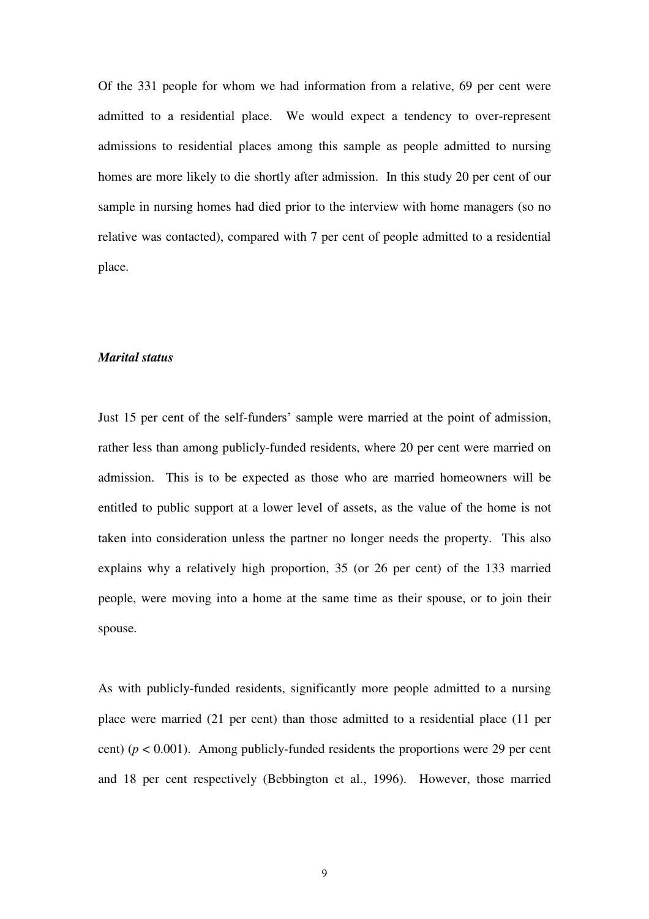Of the 331 people for whom we had information from a relative, 69 per cent were admitted to a residential place. We would expect a tendency to over-represent admissions to residential places among this sample as people admitted to nursing homes are more likely to die shortly after admission. In this study 20 per cent of our sample in nursing homes had died prior to the interview with home managers (so no relative was contacted), compared with 7 per cent of people admitted to a residential place.

#### *Marital status*

Just 15 per cent of the self-funders' sample were married at the point of admission, rather less than among publicly-funded residents, where 20 per cent were married on admission. This is to be expected as those who are married homeowners will be entitled to public support at a lower level of assets, as the value of the home is not taken into consideration unless the partner no longer needs the property. This also explains why a relatively high proportion, 35 (or 26 per cent) of the 133 married people, were moving into a home at the same time as their spouse, or to join their spouse.

As with publicly-funded residents, significantly more people admitted to a nursing place were married (21 per cent) than those admitted to a residential place (11 per cent) ( $p < 0.001$ ). Among publicly-funded residents the proportions were 29 per cent and 18 per cent respectively (Bebbington et al., 1996). However, those married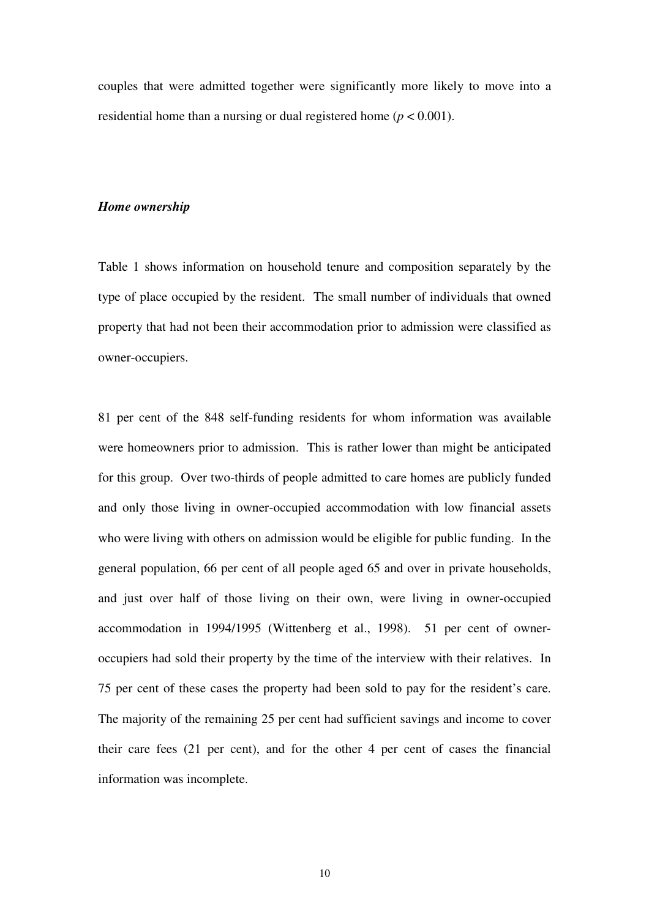couples that were admitted together were significantly more likely to move into a residential home than a nursing or dual registered home (*p* < 0.001).

#### *Home ownership*

Table 1 shows information on household tenure and composition separately by the type of place occupied by the resident. The small number of individuals that owned property that had not been their accommodation prior to admission were classified as owner-occupiers.

81 per cent of the 848 self-funding residents for whom information was available were homeowners prior to admission. This is rather lower than might be anticipated for this group. Over two-thirds of people admitted to care homes are publicly funded and only those living in owner-occupied accommodation with low financial assets who were living with others on admission would be eligible for public funding. In the general population, 66 per cent of all people aged 65 and over in private households, and just over half of those living on their own, were living in owner-occupied accommodation in 1994/1995 (Wittenberg et al., 1998). 51 per cent of owneroccupiers had sold their property by the time of the interview with their relatives. In 75 per cent of these cases the property had been sold to pay for the resident's care. The majority of the remaining 25 per cent had sufficient savings and income to cover their care fees (21 per cent), and for the other 4 per cent of cases the financial information was incomplete.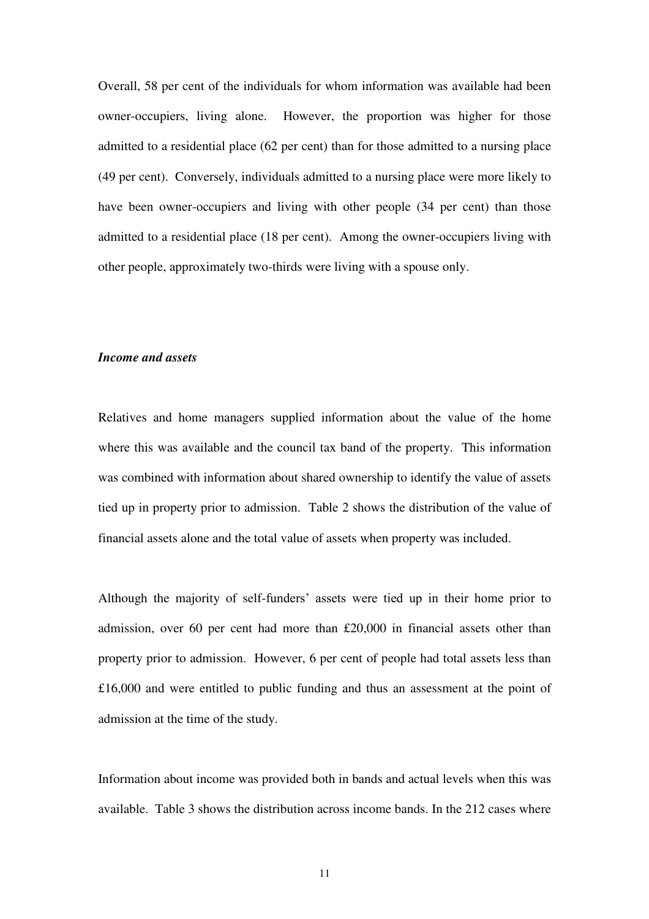Overall, 58 per cent of the individuals for whom information was available had been owner-occupiers, living alone. However, the proportion was higher for those admitted to a residential place (62 per cent) than for those admitted to a nursing place (49 per cent). Conversely, individuals admitted to a nursing place were more likely to have been owner-occupiers and living with other people (34 per cent) than those admitted to a residential place (18 per cent). Among the owner-occupiers living with other people, approximately two-thirds were living with a spouse only.

#### *Income and assets*

Relatives and home managers supplied information about the value of the home where this was available and the council tax band of the property. This information was combined with information about shared ownership to identify the value of assets tied up in property prior to admission. Table 2 shows the distribution of the value of financial assets alone and the total value of assets when property was included.

Although the majority of self-funders' assets were tied up in their home prior to admission, over 60 per cent had more than £20,000 in financial assets other than property prior to admission. However, 6 per cent of people had total assets less than £16,000 and were entitled to public funding and thus an assessment at the point of admission at the time of the study.

Information about income was provided both in bands and actual levels when this was available. Table 3 shows the distribution across income bands. In the 212 cases where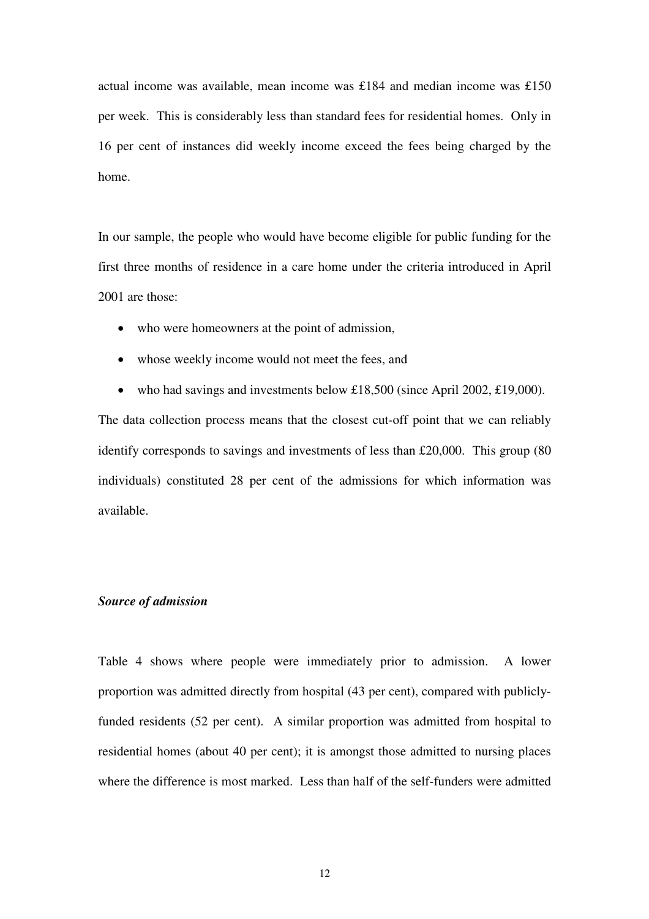actual income was available, mean income was £184 and median income was £150 per week. This is considerably less than standard fees for residential homes. Only in 16 per cent of instances did weekly income exceed the fees being charged by the home.

In our sample, the people who would have become eligible for public funding for the first three months of residence in a care home under the criteria introduced in April 2001 are those:

- who were homeowners at the point of admission,
- whose weekly income would not meet the fees, and
- who had savings and investments below £18,500 (since April 2002, £19,000).

The data collection process means that the closest cut-off point that we can reliably identify corresponds to savings and investments of less than £20,000. This group (80 individuals) constituted 28 per cent of the admissions for which information was available.

#### *Source of admission*

Table 4 shows where people were immediately prior to admission. A lower proportion was admitted directly from hospital (43 per cent), compared with publiclyfunded residents (52 per cent). A similar proportion was admitted from hospital to residential homes (about 40 per cent); it is amongst those admitted to nursing places where the difference is most marked. Less than half of the self-funders were admitted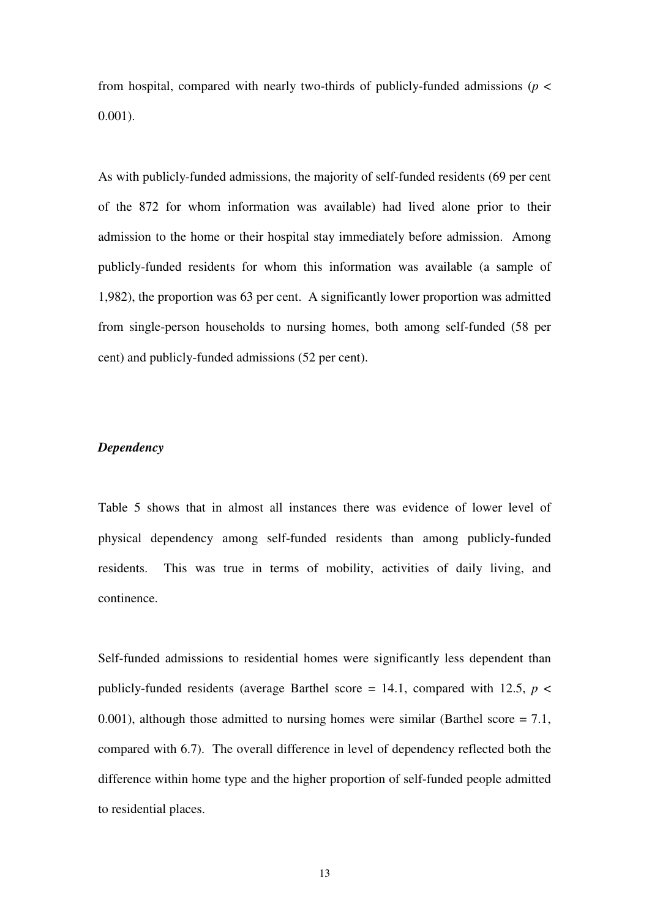from hospital, compared with nearly two-thirds of publicly-funded admissions ( $p <$ 0.001).

As with publicly-funded admissions, the majority of self-funded residents (69 per cent of the 872 for whom information was available) had lived alone prior to their admission to the home or their hospital stay immediately before admission. Among publicly-funded residents for whom this information was available (a sample of 1,982), the proportion was 63 per cent. A significantly lower proportion was admitted from single-person households to nursing homes, both among self-funded (58 per cent) and publicly-funded admissions (52 per cent).

#### *Dependency*

Table 5 shows that in almost all instances there was evidence of lower level of physical dependency among self-funded residents than among publicly-funded residents. This was true in terms of mobility, activities of daily living, and continence.

Self-funded admissions to residential homes were significantly less dependent than publicly-funded residents (average Barthel score  $= 14.1$ , compared with 12.5,  $p \le$ 0.001), although those admitted to nursing homes were similar (Barthel score = 7.1, compared with 6.7). The overall difference in level of dependency reflected both the difference within home type and the higher proportion of self-funded people admitted to residential places.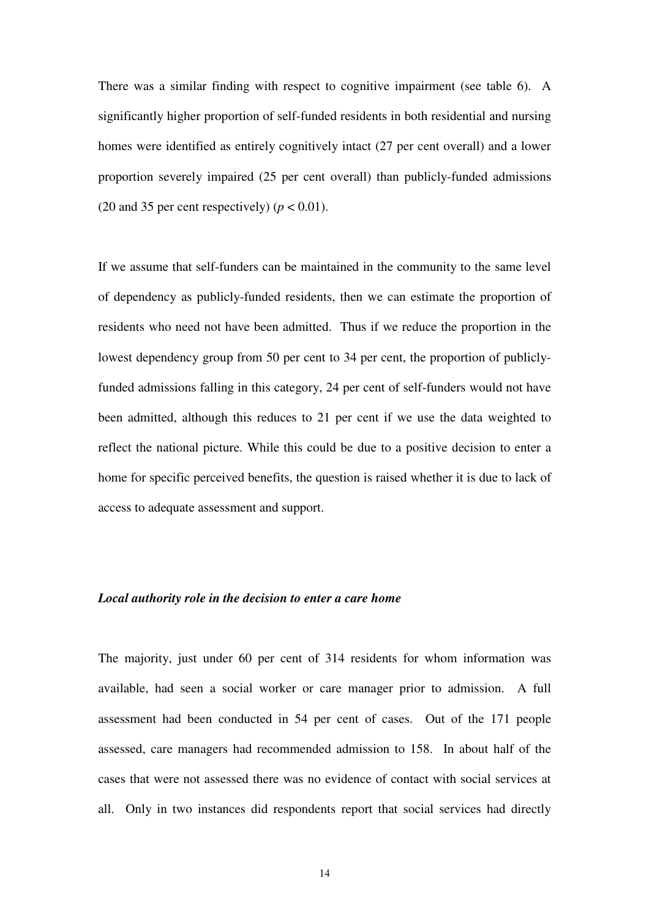There was a similar finding with respect to cognitive impairment (see table 6). A significantly higher proportion of self-funded residents in both residential and nursing homes were identified as entirely cognitively intact (27 per cent overall) and a lower proportion severely impaired (25 per cent overall) than publicly-funded admissions (20 and 35 per cent respectively)  $(p < 0.01)$ .

If we assume that self-funders can be maintained in the community to the same level of dependency as publicly-funded residents, then we can estimate the proportion of residents who need not have been admitted. Thus if we reduce the proportion in the lowest dependency group from 50 per cent to 34 per cent, the proportion of publiclyfunded admissions falling in this category, 24 per cent of self-funders would not have been admitted, although this reduces to 21 per cent if we use the data weighted to reflect the national picture. While this could be due to a positive decision to enter a home for specific perceived benefits, the question is raised whether it is due to lack of access to adequate assessment and support.

#### *Local authority role in the decision to enter a care home*

The majority, just under 60 per cent of 314 residents for whom information was available, had seen a social worker or care manager prior to admission. A full assessment had been conducted in 54 per cent of cases. Out of the 171 people assessed, care managers had recommended admission to 158. In about half of the cases that were not assessed there was no evidence of contact with social services at all. Only in two instances did respondents report that social services had directly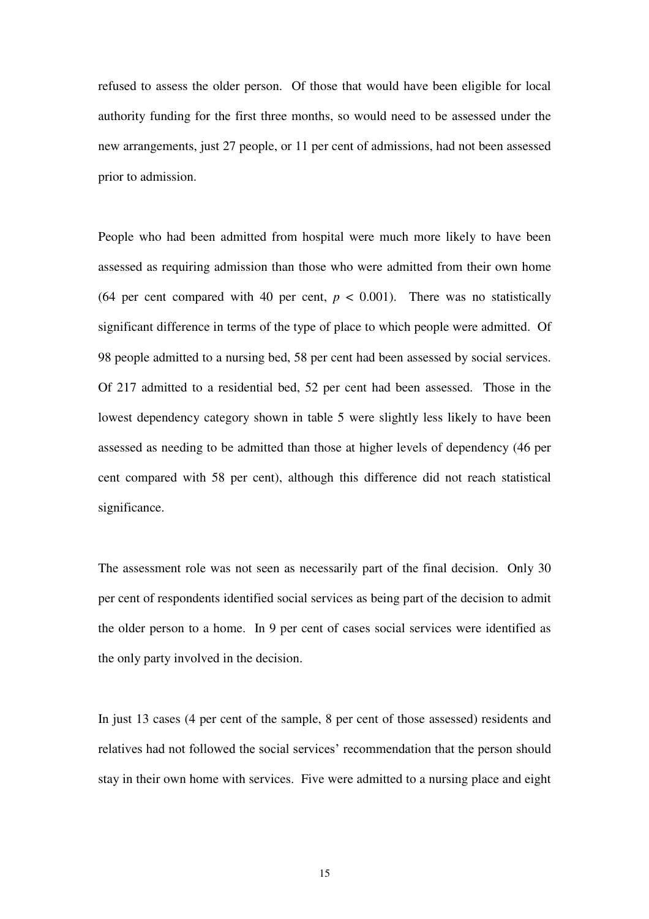refused to assess the older person. Of those that would have been eligible for local authority funding for the first three months, so would need to be assessed under the new arrangements, just 27 people, or 11 per cent of admissions, had not been assessed prior to admission.

People who had been admitted from hospital were much more likely to have been assessed as requiring admission than those who were admitted from their own home (64 per cent compared with 40 per cent,  $p < 0.001$ ). There was no statistically significant difference in terms of the type of place to which people were admitted. Of 98 people admitted to a nursing bed, 58 per cent had been assessed by social services. Of 217 admitted to a residential bed, 52 per cent had been assessed. Those in the lowest dependency category shown in table 5 were slightly less likely to have been assessed as needing to be admitted than those at higher levels of dependency (46 per cent compared with 58 per cent), although this difference did not reach statistical significance.

The assessment role was not seen as necessarily part of the final decision. Only 30 per cent of respondents identified social services as being part of the decision to admit the older person to a home. In 9 per cent of cases social services were identified as the only party involved in the decision.

In just 13 cases (4 per cent of the sample, 8 per cent of those assessed) residents and relatives had not followed the social services' recommendation that the person should stay in their own home with services. Five were admitted to a nursing place and eight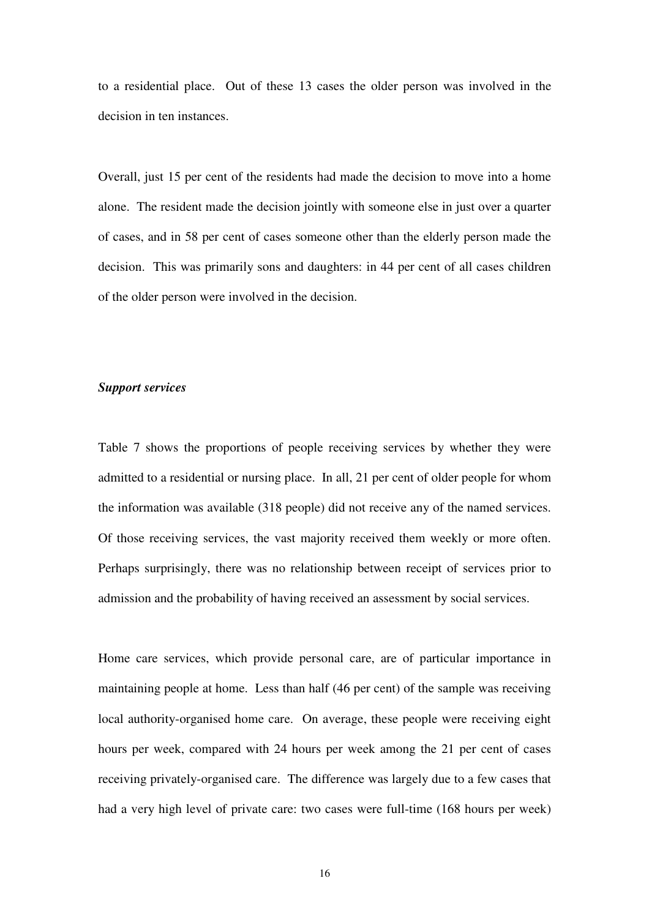to a residential place. Out of these 13 cases the older person was involved in the decision in ten instances.

Overall, just 15 per cent of the residents had made the decision to move into a home alone. The resident made the decision jointly with someone else in just over a quarter of cases, and in 58 per cent of cases someone other than the elderly person made the decision. This was primarily sons and daughters: in 44 per cent of all cases children of the older person were involved in the decision.

#### *Support services*

Table 7 shows the proportions of people receiving services by whether they were admitted to a residential or nursing place. In all, 21 per cent of older people for whom the information was available (318 people) did not receive any of the named services. Of those receiving services, the vast majority received them weekly or more often. Perhaps surprisingly, there was no relationship between receipt of services prior to admission and the probability of having received an assessment by social services.

Home care services, which provide personal care, are of particular importance in maintaining people at home. Less than half (46 per cent) of the sample was receiving local authority-organised home care. On average, these people were receiving eight hours per week, compared with 24 hours per week among the 21 per cent of cases receiving privately-organised care. The difference was largely due to a few cases that had a very high level of private care: two cases were full-time (168 hours per week)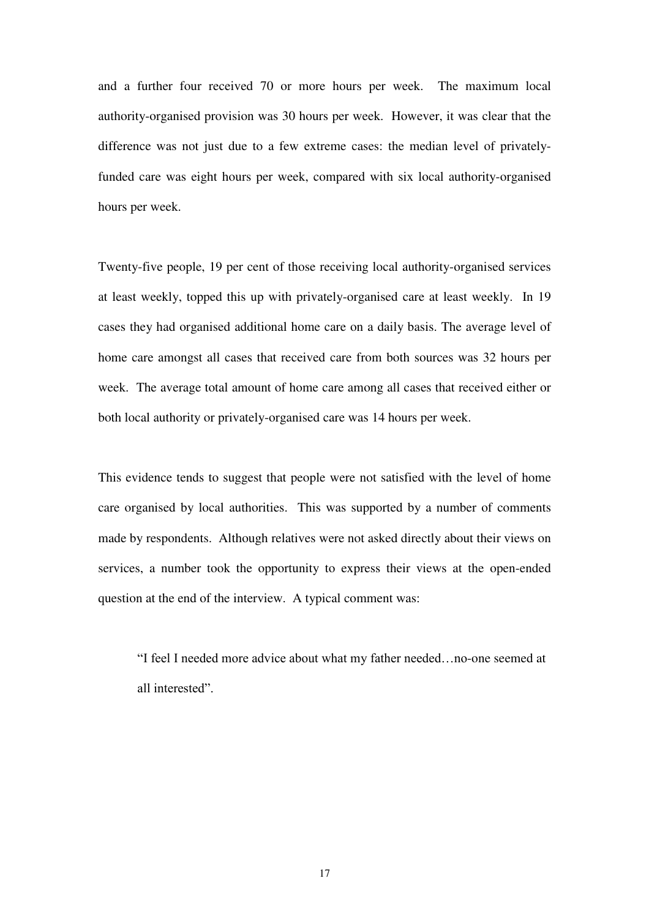and a further four received 70 or more hours per week. The maximum local authority-organised provision was 30 hours per week. However, it was clear that the difference was not just due to a few extreme cases: the median level of privatelyfunded care was eight hours per week, compared with six local authority-organised hours per week.

Twenty-five people, 19 per cent of those receiving local authority-organised services at least weekly, topped this up with privately-organised care at least weekly. In 19 cases they had organised additional home care on a daily basis. The average level of home care amongst all cases that received care from both sources was 32 hours per week. The average total amount of home care among all cases that received either or both local authority or privately-organised care was 14 hours per week.

This evidence tends to suggest that people were not satisfied with the level of home care organised by local authorities. This was supported by a number of comments made by respondents. Although relatives were not asked directly about their views on services, a number took the opportunity to express their views at the open-ended question at the end of the interview. A typical comment was:

"I feel I needed more advice about what my father needed…no-one seemed at all interested".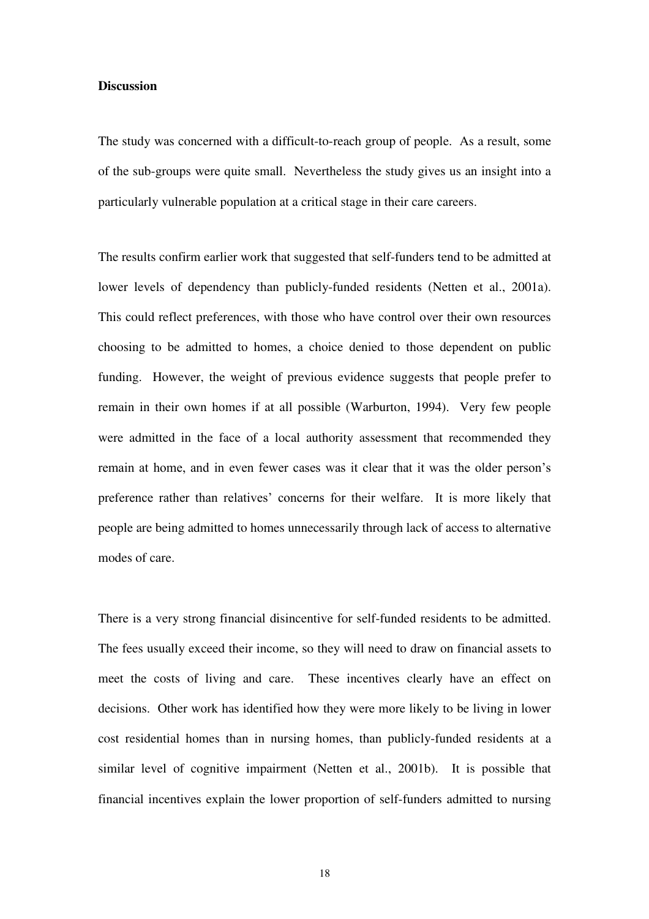#### **Discussion**

The study was concerned with a difficult-to-reach group of people. As a result, some of the sub-groups were quite small. Nevertheless the study gives us an insight into a particularly vulnerable population at a critical stage in their care careers.

The results confirm earlier work that suggested that self-funders tend to be admitted at lower levels of dependency than publicly-funded residents (Netten et al., 2001a). This could reflect preferences, with those who have control over their own resources choosing to be admitted to homes, a choice denied to those dependent on public funding. However, the weight of previous evidence suggests that people prefer to remain in their own homes if at all possible (Warburton, 1994). Very few people were admitted in the face of a local authority assessment that recommended they remain at home, and in even fewer cases was it clear that it was the older person's preference rather than relatives' concerns for their welfare. It is more likely that people are being admitted to homes unnecessarily through lack of access to alternative modes of care.

There is a very strong financial disincentive for self-funded residents to be admitted. The fees usually exceed their income, so they will need to draw on financial assets to meet the costs of living and care. These incentives clearly have an effect on decisions. Other work has identified how they were more likely to be living in lower cost residential homes than in nursing homes, than publicly-funded residents at a similar level of cognitive impairment (Netten et al., 2001b). It is possible that financial incentives explain the lower proportion of self-funders admitted to nursing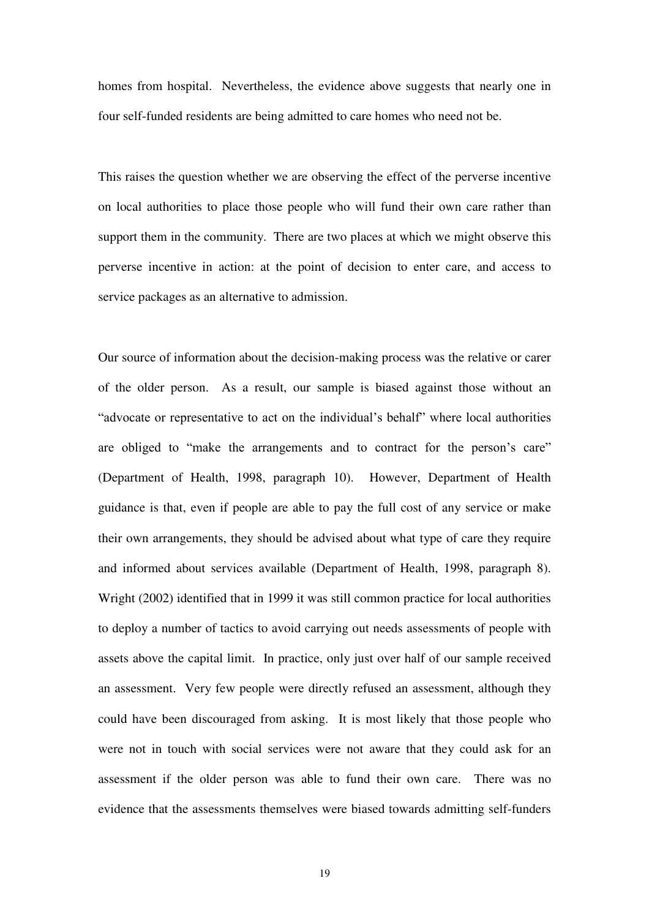homes from hospital. Nevertheless, the evidence above suggests that nearly one in four self-funded residents are being admitted to care homes who need not be.

This raises the question whether we are observing the effect of the perverse incentive on local authorities to place those people who will fund their own care rather than support them in the community. There are two places at which we might observe this perverse incentive in action: at the point of decision to enter care, and access to service packages as an alternative to admission.

Our source of information about the decision-making process was the relative or carer of the older person. As a result, our sample is biased against those without an "advocate or representative to act on the individual's behalf" where local authorities are obliged to "make the arrangements and to contract for the person's care" (Department of Health, 1998, paragraph 10). However, Department of Health guidance is that, even if people are able to pay the full cost of any service or make their own arrangements, they should be advised about what type of care they require and informed about services available (Department of Health, 1998, paragraph 8). Wright (2002) identified that in 1999 it was still common practice for local authorities to deploy a number of tactics to avoid carrying out needs assessments of people with assets above the capital limit. In practice, only just over half of our sample received an assessment. Very few people were directly refused an assessment, although they could have been discouraged from asking. It is most likely that those people who were not in touch with social services were not aware that they could ask for an assessment if the older person was able to fund their own care. There was no evidence that the assessments themselves were biased towards admitting self-funders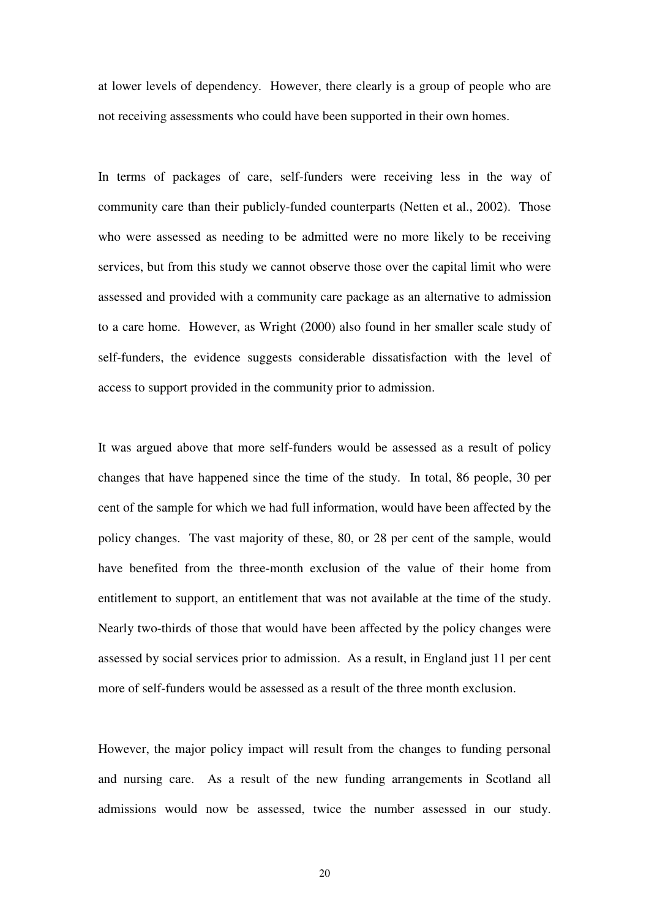at lower levels of dependency. However, there clearly is a group of people who are not receiving assessments who could have been supported in their own homes.

In terms of packages of care, self-funders were receiving less in the way of community care than their publicly-funded counterparts (Netten et al., 2002). Those who were assessed as needing to be admitted were no more likely to be receiving services, but from this study we cannot observe those over the capital limit who were assessed and provided with a community care package as an alternative to admission to a care home. However, as Wright (2000) also found in her smaller scale study of self-funders, the evidence suggests considerable dissatisfaction with the level of access to support provided in the community prior to admission.

It was argued above that more self-funders would be assessed as a result of policy changes that have happened since the time of the study. In total, 86 people, 30 per cent of the sample for which we had full information, would have been affected by the policy changes. The vast majority of these, 80, or 28 per cent of the sample, would have benefited from the three-month exclusion of the value of their home from entitlement to support, an entitlement that was not available at the time of the study. Nearly two-thirds of those that would have been affected by the policy changes were assessed by social services prior to admission. As a result, in England just 11 per cent more of self-funders would be assessed as a result of the three month exclusion.

However, the major policy impact will result from the changes to funding personal and nursing care. As a result of the new funding arrangements in Scotland all admissions would now be assessed, twice the number assessed in our study.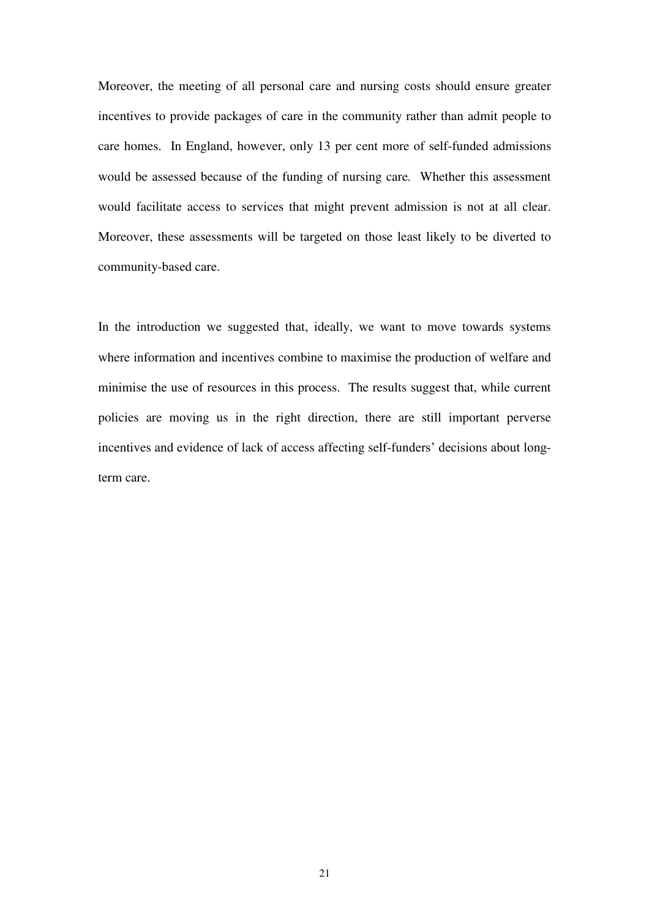Moreover, the meeting of all personal care and nursing costs should ensure greater incentives to provide packages of care in the community rather than admit people to care homes. In England, however, only 13 per cent more of self-funded admissions would be assessed because of the funding of nursing care*.* Whether this assessment would facilitate access to services that might prevent admission is not at all clear. Moreover, these assessments will be targeted on those least likely to be diverted to community-based care.

In the introduction we suggested that, ideally, we want to move towards systems where information and incentives combine to maximise the production of welfare and minimise the use of resources in this process. The results suggest that, while current policies are moving us in the right direction, there are still important perverse incentives and evidence of lack of access affecting self-funders' decisions about longterm care.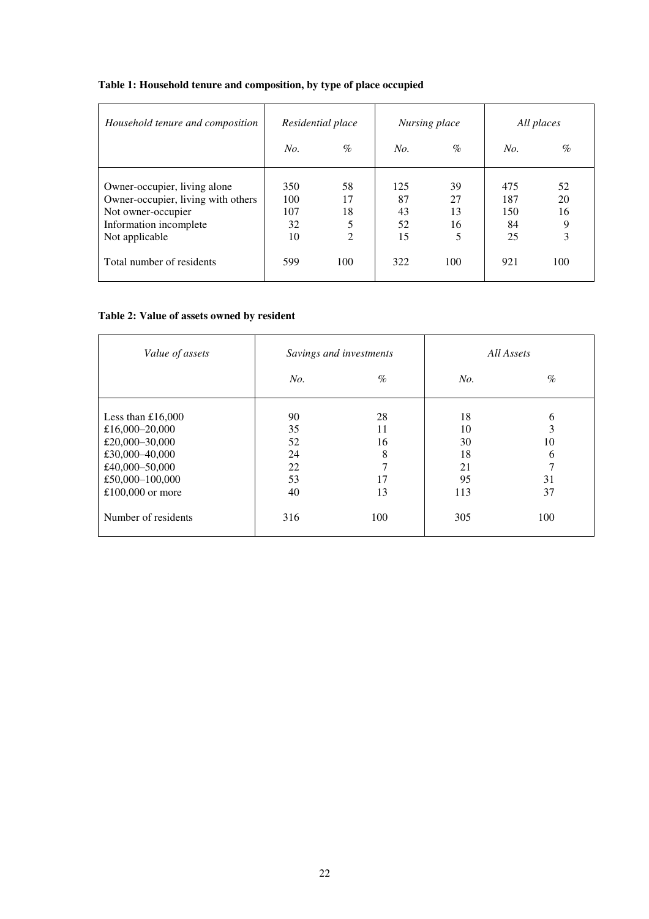#### **Table 1: Household tenure and composition, by type of place occupied**

| Household tenure and composition                                                                                                     | Residential place             |                                       | Nursing place               |                           | All places                    |                          |
|--------------------------------------------------------------------------------------------------------------------------------------|-------------------------------|---------------------------------------|-----------------------------|---------------------------|-------------------------------|--------------------------|
|                                                                                                                                      | No.                           | $\%$                                  | No.                         | $\%$                      | No.                           | $\%$                     |
| Owner-occupier, living alone<br>Owner-occupier, living with others<br>Not owner-occupier<br>Information incomplete<br>Not applicable | 350<br>100<br>107<br>32<br>10 | 58<br>17<br>18<br>5<br>$\overline{2}$ | 125<br>87<br>43<br>52<br>15 | 39<br>27<br>13<br>16<br>5 | 475<br>187<br>150<br>84<br>25 | 52<br>20<br>16<br>9<br>3 |
| Total number of residents                                                                                                            | 599                           | 100                                   | 322                         | 100                       | 921                           | 100                      |

### **Table 2: Value of assets owned by resident**

| Value of assets                                                                                                                    |                                        | Savings and investments              | All Assets                              |                                    |  |
|------------------------------------------------------------------------------------------------------------------------------------|----------------------------------------|--------------------------------------|-----------------------------------------|------------------------------------|--|
|                                                                                                                                    | No.                                    | $\%$                                 | No.                                     | $\%$                               |  |
| Less than $£16,000$<br>£16,000-20,000<br>£20,000-30,000<br>£30,000-40,000<br>£40,000-50,000<br>£50,000-100,000<br>£100,000 or more | 90<br>35<br>52<br>24<br>22<br>53<br>40 | 28<br>11<br>16<br>8<br>7<br>17<br>13 | 18<br>10<br>30<br>18<br>21<br>95<br>113 | 6<br>3<br>10<br>6<br>7<br>31<br>37 |  |
| Number of residents                                                                                                                | 316                                    | 100                                  | 305                                     | 100                                |  |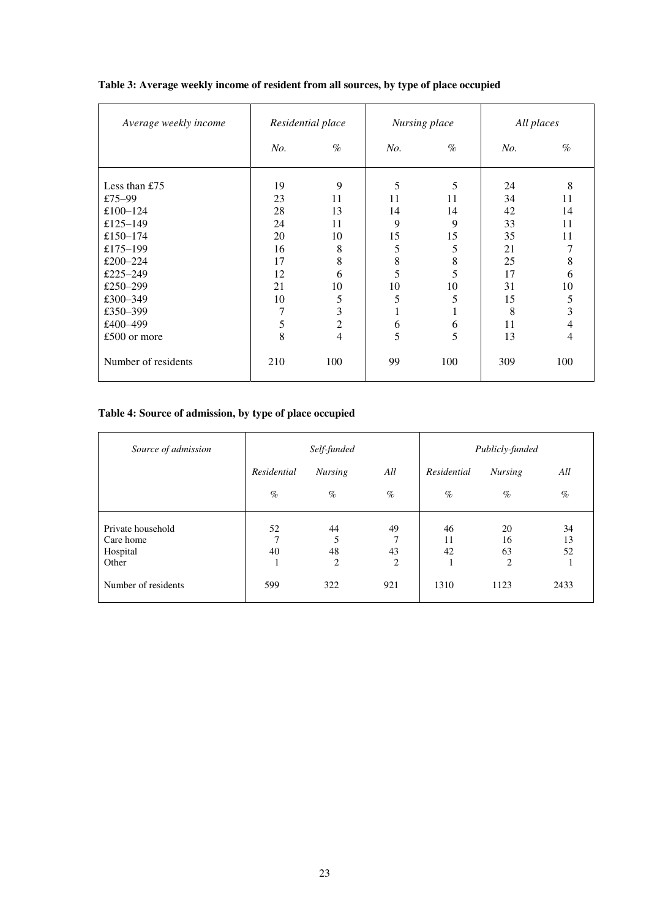| Average weekly income | Residential place |                  | Nursing place |          | All places |                |
|-----------------------|-------------------|------------------|---------------|----------|------------|----------------|
|                       | No.               | $\%$             | No.           | $\%$     | No.        | $\%$           |
| Less than $£75$       | 19                | 9                | 5             | 5        | 24         | 8              |
| £75–99<br>£100-124    | 23<br>28          | 11<br>13         | 11<br>14      | 11<br>14 | 34<br>42   | 11<br>14       |
| £125–149              | 24                | 11               | 9             | 9        | 33         | 11             |
| £150-174              | 20                | 10               | 15            | 15       | 35         | 11             |
| £175-199              | 16                | 8                | 5             | 5        | 21         | 7              |
| £200-224              | 17                | 8                | 8             | 8        | 25         | 8              |
| £225-249              | 12                | 6                | 5             | 5        | 17         | 6              |
| £250-299              | 21                | 10               | 10            | 10       | 31         | 10             |
| £300-349              | 10                | 5                | 5             | 5        | 15         | 5              |
| £350-399              | 7                 | 3                |               | Ι.       | 8          | 3              |
| £400-499              | 5                 | $\boldsymbol{2}$ | 6             | 6        | 11         | 4              |
| £500 or more          | 8                 | 4                | 5             | 5        | 13         | $\overline{4}$ |
| Number of residents   | 210               | 100              | 99            | 100      | 309        | 100            |

#### **Table 3: Average weekly income of resident from all sources, by type of place occupied**

#### **Table 4: Source of admission, by type of place occupied**

| Source of admission                                 |                          | Self-funded        |                               |                     | Publicly-funded                  |                |
|-----------------------------------------------------|--------------------------|--------------------|-------------------------------|---------------------|----------------------------------|----------------|
|                                                     | Residential              | <b>Nursing</b>     | All                           | Residential         | <b>Nursing</b>                   | All            |
|                                                     | $\%$                     | $\%$               | $\%$                          | $\%$                | $\%$                             | $\%$           |
| Private household<br>Care home<br>Hospital<br>Other | 52<br>$\mathbf{7}$<br>40 | 44<br>5<br>48<br>2 | 49<br>$\mathbf{r}$<br>43<br>2 | 46<br>11<br>42<br>1 | 20<br>16<br>63<br>$\overline{c}$ | 34<br>13<br>52 |
| Number of residents                                 | 599                      | 322                | 921                           | 1310                | 1123                             | 2433           |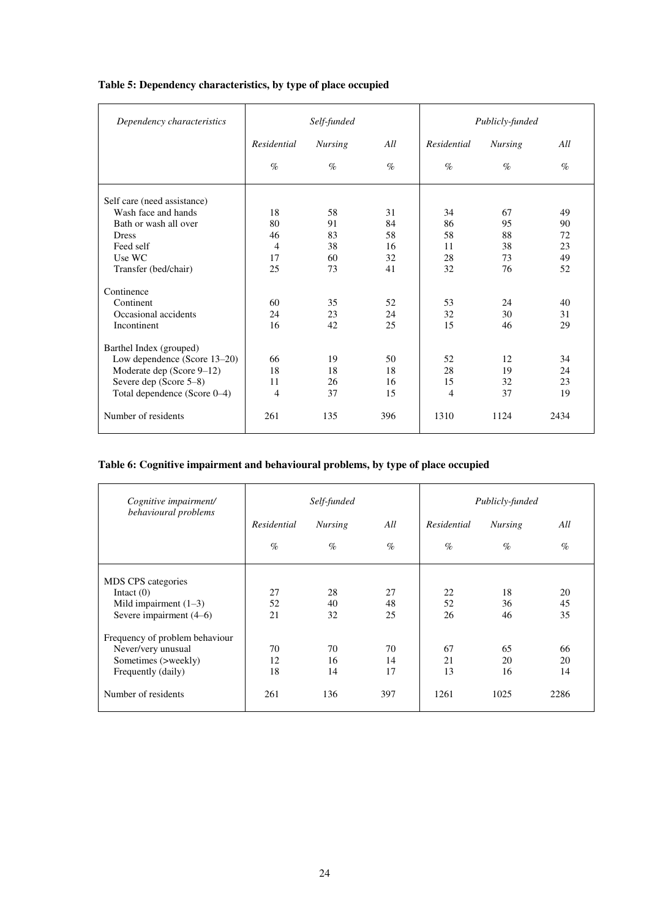| Dependency characteristics   | Self-funded |                |      | Publicly-funded |                |      |
|------------------------------|-------------|----------------|------|-----------------|----------------|------|
|                              | Residential | <b>Nursing</b> | All  | Residential     | <b>Nursing</b> | All  |
|                              | $\%$        | $\%$           | $\%$ | $\%$            | $\%$           | $\%$ |
| Self care (need assistance)  |             |                |      |                 |                |      |
| Wash face and hands          | 18          | 58             | 31   | 34              | 67             | 49   |
| Bath or wash all over        | 80          | 91             | 84   | 86              | 95             | 90   |
| <b>Dress</b>                 | 46          | 83             | 58   | 58              | 88             | 72   |
| Feed self                    | 4           | 38             | 16   | 11              | 38             | 23   |
| Use WC                       | 17          | 60             | 32   | 28              | 73             | 49   |
| Transfer (bed/chair)         | 25          | 73             | 41   | 32              | 76             | 52   |
| Continence                   |             |                |      |                 |                |      |
| Continent                    | 60          | 35             | 52   | 53              | 24             | 40   |
| Occasional accidents         | 24          | 23             | 24   | 32              | 30             | 31   |
| Incontinent                  | 16          | 42             | 25   | 15              | 46             | 29   |
| Barthel Index (grouped)      |             |                |      |                 |                |      |
| Low dependence (Score 13-20) | 66          | 19             | 50   | 52              | 12             | 34   |
| Moderate dep (Score 9-12)    | 18          | 18             | 18   | 28              | 19             | 24   |
| Severe dep (Score 5-8)       | 11          | 26             | 16   | 15              | 32             | 23   |
| Total dependence (Score 0-4) | 4           | 37             | 15   | $\overline{4}$  | 37             | 19   |
| Number of residents          | 261         | 135            | 396  | 1310            | 1124           | 2434 |

#### **Table 5: Dependency characteristics, by type of place occupied**

#### **Table 6: Cognitive impairment and behavioural problems, by type of place occupied**

| Cognitive impairment/<br>behavioural problems | Self-funded |                |      | Publicly-funded |                |      |
|-----------------------------------------------|-------------|----------------|------|-----------------|----------------|------|
|                                               | Residential | <b>Nursing</b> | All  | Residential     | <b>Nursing</b> | All  |
|                                               | $\%$        | $\%$           | $\%$ | $\%$            | $\%$           | $\%$ |
| MDS CPS categories                            |             |                |      |                 |                |      |
| Intact $(0)$                                  | 27          | 28             | 27   | 22              | 18             | 20   |
| Mild impairment $(1-3)$                       | 52          | 40             | 48   | 52              | 36             | 45   |
| Severe impairment (4–6)                       | 21          | 32             | 25   | 26              | 46             | 35   |
| Frequency of problem behaviour                |             |                |      |                 |                |      |
| Never/very unusual                            | 70          | 70             | 70   | 67              | 65             | 66   |
| Sometimes (>weekly)                           | 12          | 16             | 14   | 21              | 20             | 20   |
| Frequently (daily)                            | 18          | 14             | 17   | 13              | 16             | 14   |
| Number of residents                           | 261         | 136            | 397  | 1261            | 1025           | 2286 |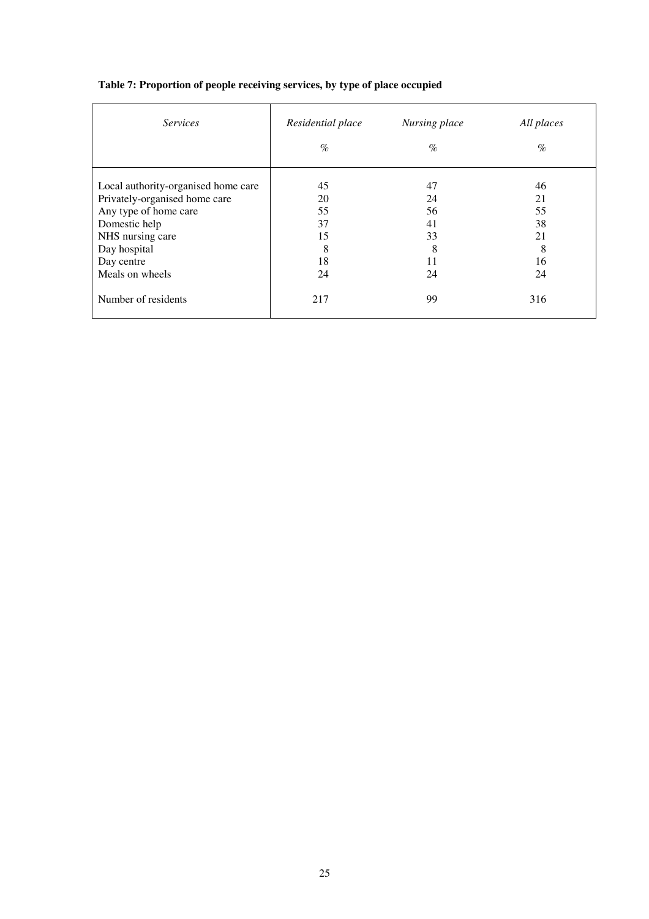| <i>Services</i>                     | Residential place<br>Nursing place |      | All places |
|-------------------------------------|------------------------------------|------|------------|
|                                     | $\%$                               | $\%$ | $\%$       |
| Local authority-organised home care | 45                                 | 47   | 46         |
| Privately-organised home care       | 20                                 | 24   | 21         |
| Any type of home care               | 55                                 | 56   | 55         |
| Domestic help                       | 37                                 | 41   | 38         |
| NHS nursing care                    | 15                                 | 33   | 21         |
| Day hospital                        | 8                                  | 8    | 8          |
| Day centre                          | 18                                 | 11   | 16         |
| Meals on wheels                     | 24                                 | 24   | 24         |
| Number of residents                 | 217                                | 99   | 316        |

#### **Table 7: Proportion of people receiving services, by type of place occupied**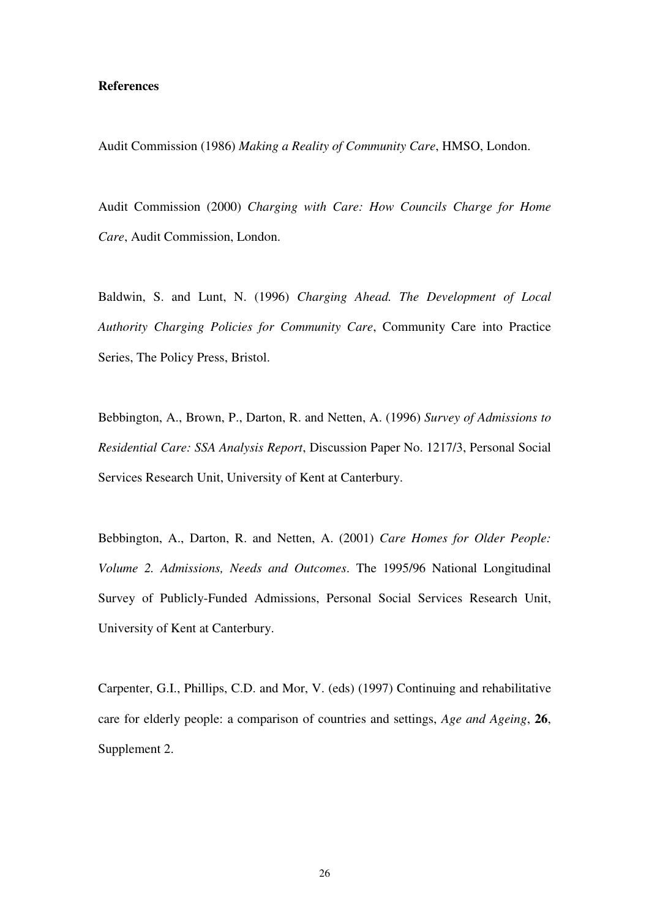#### **References**

Audit Commission (1986) *Making a Reality of Community Care*, HMSO, London.

Audit Commission (2000) *Charging with Care: How Councils Charge for Home Care*, Audit Commission, London.

Baldwin, S. and Lunt, N. (1996) *Charging Ahead. The Development of Local Authority Charging Policies for Community Care*, Community Care into Practice Series, The Policy Press, Bristol.

Bebbington, A., Brown, P., Darton, R. and Netten, A. (1996) *Survey of Admissions to Residential Care: SSA Analysis Report*, Discussion Paper No. 1217/3, Personal Social Services Research Unit, University of Kent at Canterbury.

Bebbington, A., Darton, R. and Netten, A. (2001) *Care Homes for Older People: Volume 2. Admissions, Needs and Outcomes*. The 1995/96 National Longitudinal Survey of Publicly-Funded Admissions, Personal Social Services Research Unit, University of Kent at Canterbury.

Carpenter, G.I., Phillips, C.D. and Mor, V. (eds) (1997) Continuing and rehabilitative care for elderly people: a comparison of countries and settings, *Age and Ageing*, **26**, Supplement 2.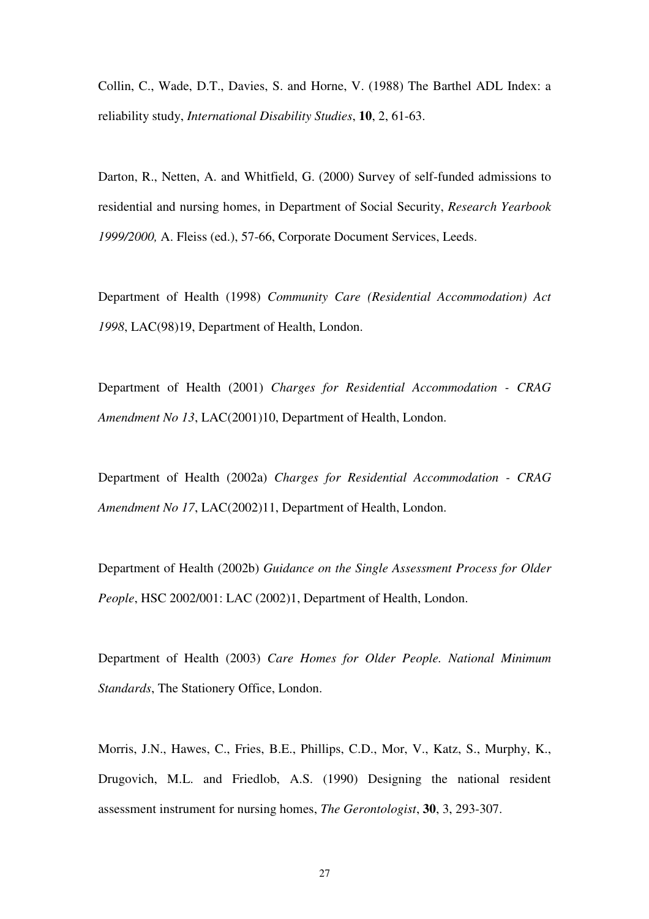Collin, C., Wade, D.T., Davies, S. and Horne, V. (1988) The Barthel ADL Index: a reliability study, *International Disability Studies*, **10**, 2, 61-63.

Darton, R., Netten, A. and Whitfield, G. (2000) Survey of self-funded admissions to residential and nursing homes, in Department of Social Security, *Research Yearbook 1999/2000,* A. Fleiss (ed.), 57-66, Corporate Document Services, Leeds.

Department of Health (1998) *Community Care (Residential Accommodation) Act 1998*, LAC(98)19, Department of Health, London.

Department of Health (2001) *Charges for Residential Accommodation - CRAG Amendment No 13*, LAC(2001)10, Department of Health, London.

Department of Health (2002a) *Charges for Residential Accommodation - CRAG Amendment No 17*, LAC(2002)11, Department of Health, London.

Department of Health (2002b) *Guidance on the Single Assessment Process for Older People*, HSC 2002/001: LAC (2002)1, Department of Health, London.

Department of Health (2003) *Care Homes for Older People. National Minimum Standards*, The Stationery Office, London.

Morris, J.N., Hawes, C., Fries, B.E., Phillips, C.D., Mor, V., Katz, S., Murphy, K., Drugovich, M.L. and Friedlob, A.S. (1990) Designing the national resident assessment instrument for nursing homes, *The Gerontologist*, **30**, 3, 293-307.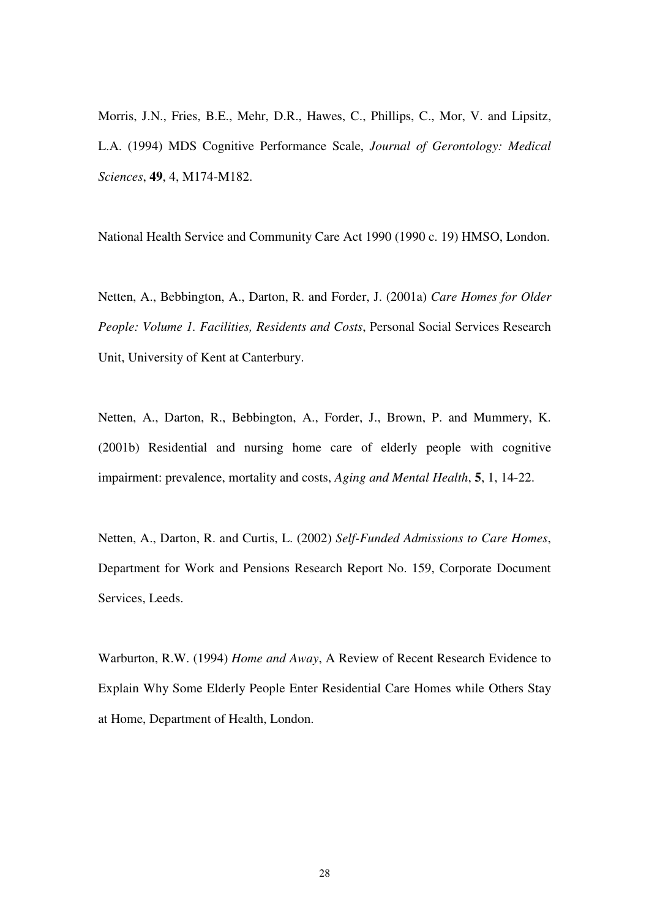Morris, J.N., Fries, B.E., Mehr, D.R., Hawes, C., Phillips, C., Mor, V. and Lipsitz, L.A. (1994) MDS Cognitive Performance Scale, *Journal of Gerontology: Medical Sciences*, **49**, 4, M174-M182.

National Health Service and Community Care Act 1990 (1990 c. 19) HMSO, London.

Netten, A., Bebbington, A., Darton, R. and Forder, J. (2001a) *Care Homes for Older People: Volume 1. Facilities, Residents and Costs*, Personal Social Services Research Unit, University of Kent at Canterbury.

Netten, A., Darton, R., Bebbington, A., Forder, J., Brown, P. and Mummery, K. (2001b) Residential and nursing home care of elderly people with cognitive impairment: prevalence, mortality and costs, *Aging and Mental Health*, **5**, 1, 14-22.

Netten, A., Darton, R. and Curtis, L. (2002) *Self-Funded Admissions to Care Homes*, Department for Work and Pensions Research Report No. 159, Corporate Document Services, Leeds.

Warburton, R.W. (1994) *Home and Away*, A Review of Recent Research Evidence to Explain Why Some Elderly People Enter Residential Care Homes while Others Stay at Home, Department of Health, London.